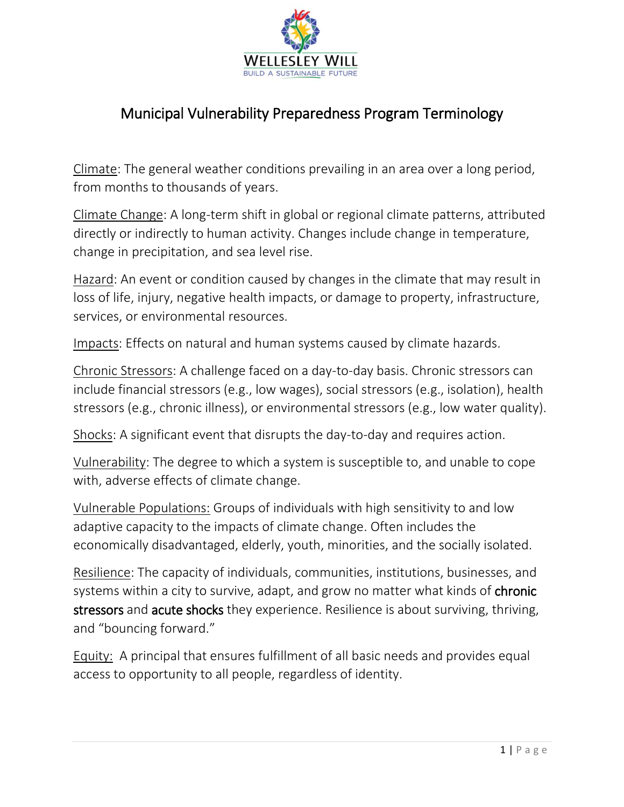

## Municipal Vulnerability Preparedness Program Terminology

Climate: The general weather conditions prevailing in an area over a long period, from months to thousands of years.

Climate Change: A long-term shift in global or regional climate patterns, attributed directly or indirectly to human activity. Changes include change in temperature, change in precipitation, and sea level rise.

Hazard: An event or condition caused by changes in the climate that may result in loss of life, injury, negative health impacts, or damage to property, infrastructure, services, or environmental resources.

Impacts: Effects on natural and human systems caused by climate hazards.

Chronic Stressors: A challenge faced on a day-to-day basis. Chronic stressors can include financial stressors (e.g., low wages), social stressors (e.g., isolation), health stressors (e.g., chronic illness), or environmental stressors (e.g., low water quality).

Shocks: A significant event that disrupts the day-to-day and requires action.

Vulnerability: The degree to which a system is susceptible to, and unable to cope with, adverse effects of climate change.

Vulnerable Populations: Groups of individuals with high sensitivity to and low adaptive capacity to the impacts of climate change. Often includes the economically disadvantaged, elderly, youth, minorities, and the socially isolated.

Resilience: The capacity of individuals, communities, institutions, businesses, and systems within a city to survive, adapt, and grow no matter what kinds of **chronic** stressors and acute shocks they experience. Resilience is about surviving, thriving, and "bouncing forward."

Equity: A principal that ensures fulfillment of all basic needs and provides equal access to opportunity to all people, regardless of identity.